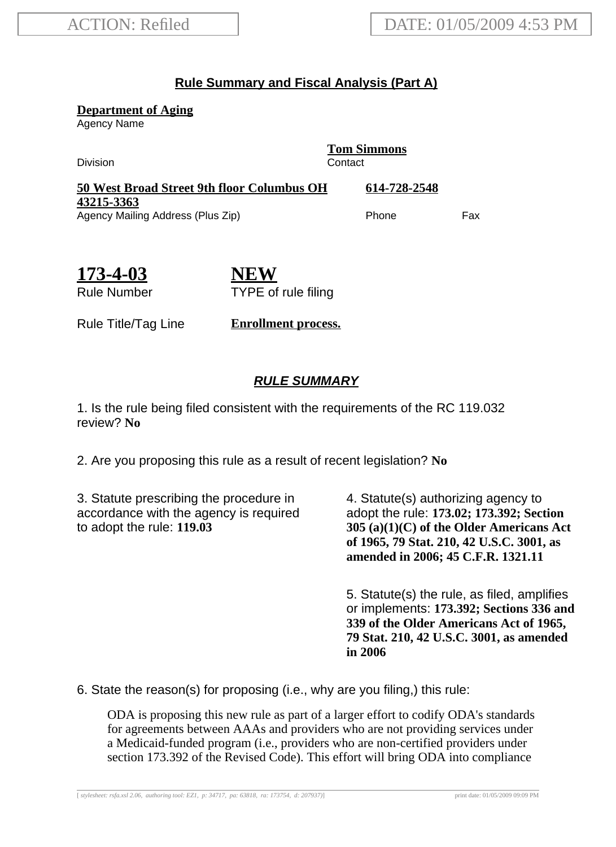## **Rule Summary and Fiscal Analysis (Part A)**

**Department of Aging**

Agency Name

Division Contact

**Tom Simmons**

| 50 West Broad Street 9th floor Columbus OH | 614-728-2548 |     |
|--------------------------------------------|--------------|-----|
| 43215-3363                                 |              |     |
| Agency Mailing Address (Plus Zip)          | Phone        | Fax |

| 173-4-03           |
|--------------------|
| <b>Rule Number</b> |

**NEW** TYPE of rule filing

Rule Title/Tag Line **Enrollment process.**

## **RULE SUMMARY**

1. Is the rule being filed consistent with the requirements of the RC 119.032 review? **No**

2. Are you proposing this rule as a result of recent legislation? **No**

3. Statute prescribing the procedure in accordance with the agency is required to adopt the rule: **119.03**

4. Statute(s) authorizing agency to adopt the rule: **173.02; 173.392; Section 305 (a)(1)(C) of the Older Americans Act of 1965, 79 Stat. 210, 42 U.S.C. 3001, as amended in 2006; 45 C.F.R. 1321.11**

5. Statute(s) the rule, as filed, amplifies or implements: **173.392; Sections 336 and 339 of the Older Americans Act of 1965, 79 Stat. 210, 42 U.S.C. 3001, as amended in 2006**

6. State the reason(s) for proposing (i.e., why are you filing,) this rule:

ODA is proposing this new rule as part of a larger effort to codify ODA's standards for agreements between AAAs and providers who are not providing services under a Medicaid-funded program (i.e., providers who are non-certified providers under section 173.392 of the Revised Code). This effort will bring ODA into compliance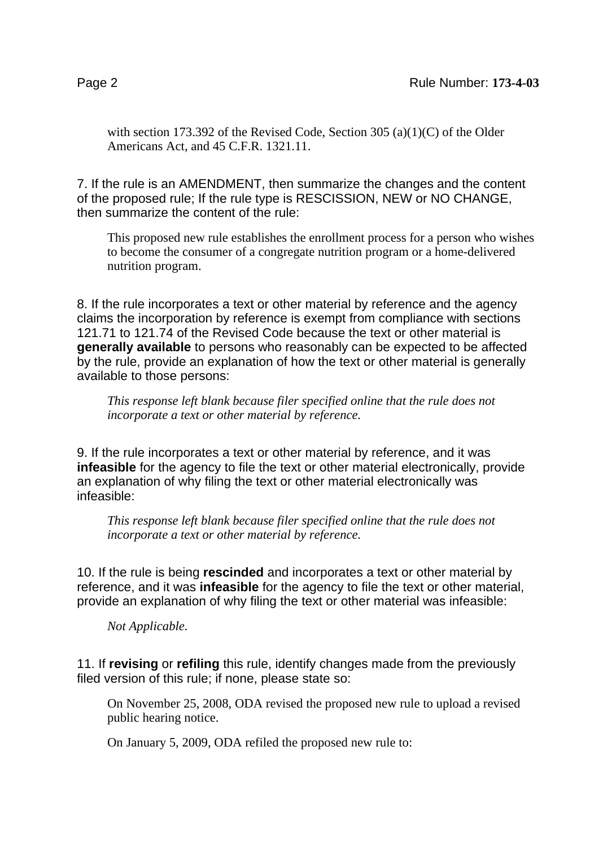with section 173.392 of the Revised Code, Section 305 (a)(1)(C) of the Older Americans Act, and 45 C.F.R. 1321.11.

7. If the rule is an AMENDMENT, then summarize the changes and the content of the proposed rule; If the rule type is RESCISSION, NEW or NO CHANGE, then summarize the content of the rule:

This proposed new rule establishes the enrollment process for a person who wishes to become the consumer of a congregate nutrition program or a home-delivered nutrition program.

8. If the rule incorporates a text or other material by reference and the agency claims the incorporation by reference is exempt from compliance with sections 121.71 to 121.74 of the Revised Code because the text or other material is **generally available** to persons who reasonably can be expected to be affected by the rule, provide an explanation of how the text or other material is generally available to those persons:

*This response left blank because filer specified online that the rule does not incorporate a text or other material by reference.*

9. If the rule incorporates a text or other material by reference, and it was **infeasible** for the agency to file the text or other material electronically, provide an explanation of why filing the text or other material electronically was infeasible:

*This response left blank because filer specified online that the rule does not incorporate a text or other material by reference.*

10. If the rule is being **rescinded** and incorporates a text or other material by reference, and it was **infeasible** for the agency to file the text or other material, provide an explanation of why filing the text or other material was infeasible:

*Not Applicable.*

11. If **revising** or **refiling** this rule, identify changes made from the previously filed version of this rule; if none, please state so:

On November 25, 2008, ODA revised the proposed new rule to upload a revised public hearing notice.

On January 5, 2009, ODA refiled the proposed new rule to: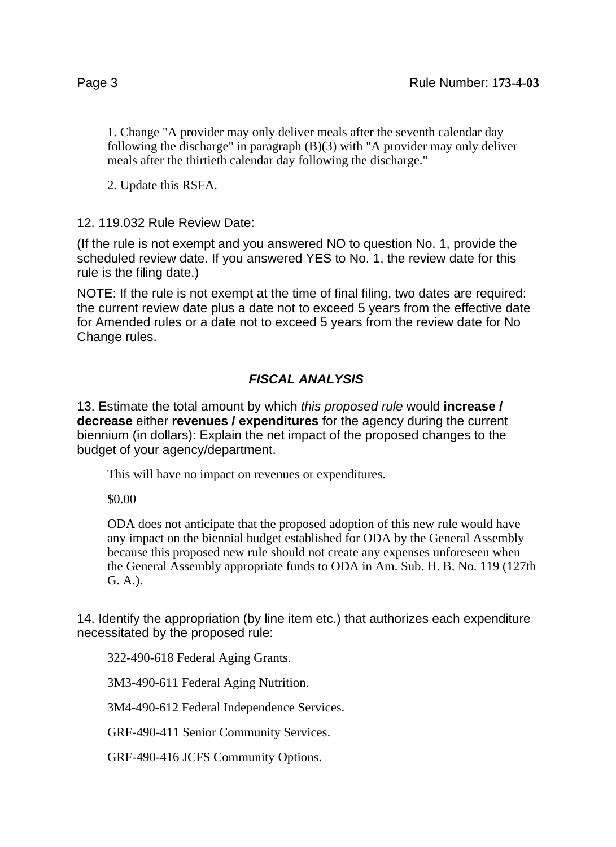1. Change "A provider may only deliver meals after the seventh calendar day following the discharge" in paragraph (B)(3) with "A provider may only deliver meals after the thirtieth calendar day following the discharge."

2. Update this RSFA.

12. 119.032 Rule Review Date:

(If the rule is not exempt and you answered NO to question No. 1, provide the scheduled review date. If you answered YES to No. 1, the review date for this rule is the filing date.)

NOTE: If the rule is not exempt at the time of final filing, two dates are required: the current review date plus a date not to exceed 5 years from the effective date for Amended rules or a date not to exceed 5 years from the review date for No Change rules.

## **FISCAL ANALYSIS**

13. Estimate the total amount by which this proposed rule would **increase / decrease** either **revenues / expenditures** for the agency during the current biennium (in dollars): Explain the net impact of the proposed changes to the budget of your agency/department.

This will have no impact on revenues or expenditures.

\$0.00

ODA does not anticipate that the proposed adoption of this new rule would have any impact on the biennial budget established for ODA by the General Assembly because this proposed new rule should not create any expenses unforeseen when the General Assembly appropriate funds to ODA in Am. Sub. H. B. No. 119 (127th G. A.).

14. Identify the appropriation (by line item etc.) that authorizes each expenditure necessitated by the proposed rule:

322-490-618 Federal Aging Grants.

3M3-490-611 Federal Aging Nutrition.

3M4-490-612 Federal Independence Services.

GRF-490-411 Senior Community Services.

GRF-490-416 JCFS Community Options.